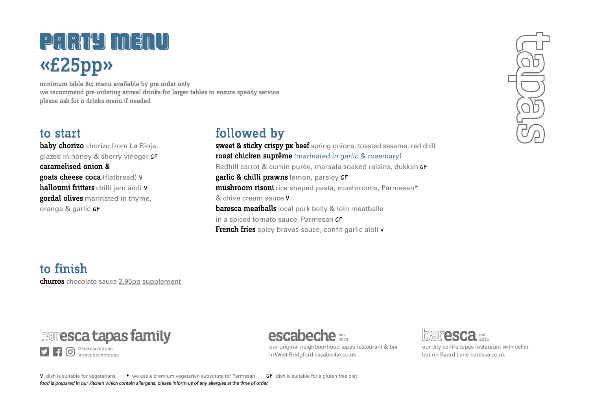# PARTY MENU «£25pp»

minimum table 8c; menu available by pre-order only we recommend pre-ordering arrival drinks for larger tables to ensure speedy service please ask for a drinks menu if needed

### to start

baby chorizo chorizo from La Rioja, glazed in honey & sherry vinegar GF caramelised onion & goats cheese coca (flatbread) <sup>V</sup> halloumi fritters chilli jam aïoli <sup>V</sup> gordal olives marinated in thyme, orange & garlic GF

## followed by

sweet & sticky crispy px beef spring onions, toasted sesame, red chill roast chicken suprême (marinated in garlic & rosemary) Redhill carrot & cumin purée, marsala soaked raisins, dukkah GF garlic & chilli prawns lemon, parsley GF mushroom risoni rice shaped pasta, mushrooms, Parmesan\* & chive cream sauce V **baresca meatballs** local pork belly & loin meatballs in a spiced tomato sauce, Parmesan GF French fries spicy bravas sauce, confit garlic aïoli V

to finish churros chocolate sauce 2,95pp supplement

## **baresca tapas family**

@barescatapas @escabechetapas est. 2010

our original neighbourhood tapas restaurant & bar in West Bridgford escabeche.co.uk



our city centre tapas restaurant with cellar bar on Byard Lane baresca.co.uk

V dish is suitable for vegetarians \* we use a premium vegetarian substitute for Parmesan **GF** dish is suitable for a gluten free diet food is prepared in our kitchen which contain allergens, please inform us of any allergies at the time of order

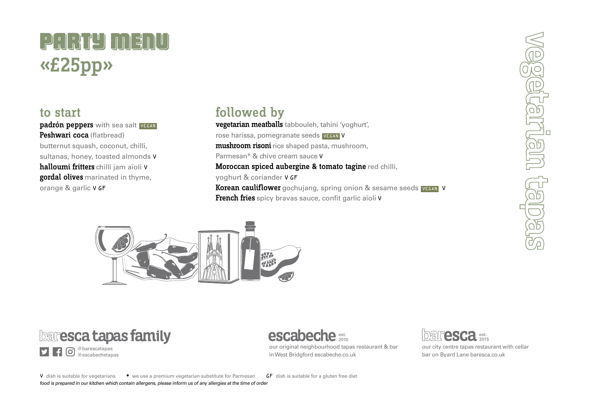# PARTY MENU «£25pp»

#### to start

padrón peppers with sea salt VEGAN Peshwari coca (flatbread) butternut squash, coconut, chilli, sultanas, honey, toasted almonds V halloumi fritters chilli jam aïoli V gordal olives marinated in thyme, orange & garlic V GF

### followed by

vegetarian meatballs tabbouleh, tahini 'yoghurt', rose harissa, pomegranate seeds VEGAN V mushroom risoni rice shaped pasta, mushroom, Parmesan\* & chive cream sauce V Moroccan spiced aubergine & tomato tagine red chilli, yoghurt & coriander V GF Korean cauliflower gochuiang, spring onion & sesame seeds VEGAN V **French fries** spicy bravas sauce, confit garlic aïoli V



**baresca tapas family** 

@barescatapas @escabechetapas est. 2010

our original neighbourhood tapas restaurant & bar in West Bridgford escabeche.co.uk



our city centre tapas restaurant with cellar bar on Byard Lane baresca.co.uk

UBLISHEE iggjegj

V dish is suitable for vegetarians \* we use a premium vegetarian substitute for Parmesan **GF** dish is suitable for a gluten free diet food is prepared in our kitchen which contain allergens, please inform us of any allergies at the time of order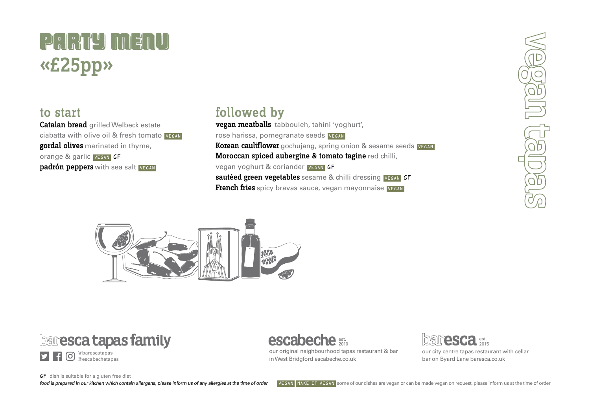# PARTY MENU «£25pp»

#### to start

Catalan bread grilled Welbeck estate ciabatta with olive oil & fresh tomato VEGAN gordal olives marinated in thyme, orange & garlic VEGAN GF padrón peppers with sea salt VEGAN

### followed by

vegan meatballs tabbouleh, tahini 'yoghurt', rose harissa, pomegranate seeds VEGAN Korean cauliflower gochujang, spring onion & sesame seeds VEGAN Moroccan spiced aubergine & tomato tagine red chilli, vegan yoghurt & coriander VEGAN GF sautéed green vegetables sesame & chilli dressing VEGAN GF **French fries** spicy brayas sauce, yegan mayonnaise VEGAN



**baresca tapas family** 



## est. 2010

our original neighbourhood tapas restaurant & bar in West Bridgford escabeche.co.uk



our city centre tapas restaurant with cellar bar on Byard Lane baresca.co.uk

**BUBA UBS** 

#### GF dish is suitable for a gluten free diet

food is prepared in our kitchen which contain allergens, please inform us of any allergies at the time of order VEGAN MAKE IT VEGAN some of our dishes are vegan or can be made vegan on request, please inform us at the time